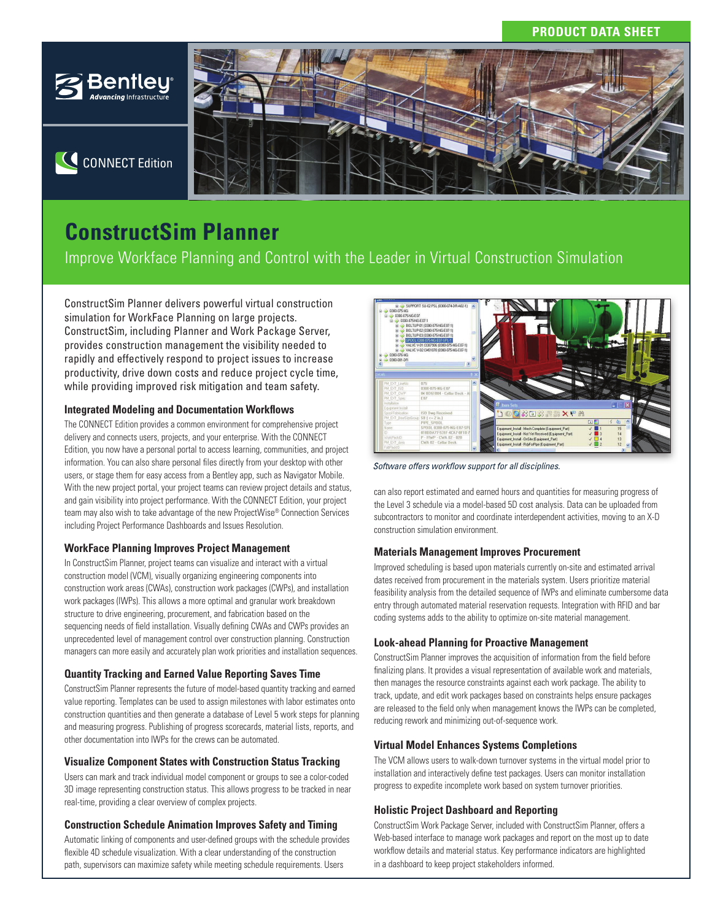# **PRODUCT DATA SHEET**



# **CONNECT Edition**



# **ConstructSim Planner**

Improve Workface Planning and Control with the Leader in Virtual Construction Simulation

ConstructSim Planner delivers powerful virtual construction simulation for WorkFace Planning on large projects. ConstructSim, including Planner and Work Package Server, provides construction management the visibility needed to rapidly and effectively respond to project issues to increase productivity, drive down costs and reduce project cycle time, while providing improved risk mitigation and team safety.

# **Integrated Modeling and Documentation Workflows**

The CONNECT Edition provides a common environment for comprehensive project delivery and connects users, projects, and your enterprise. With the CONNECT Edition, you now have a personal portal to access learning, communities, and project information. You can also share personal files directly from your desktop with other users, or stage them for easy access from a Bentley app, such as Navigator Mobile. With the new project portal, your project teams can review project details and status, and gain visibility into project performance. With the CONNECT Edition, your project team may also wish to take advantage of the new ProjectWise® Connection Services including Project Performance Dashboards and Issues Resolution.

# **WorkFace Planning Improves Project Management**

In ConstructSim Planner, project teams can visualize and interact with a virtual construction model (VCM), visually organizing engineering components into construction work areas (CWAs), construction work packages (CWPs), and installation work packages (IWPs). This allows a more optimal and granular work breakdown structure to drive engineering, procurement, and fabrication based on the sequencing needs of field installation. Visually defining CWAs and CWPs provides an unprecedented level of management control over construction planning. Construction managers can more easily and accurately plan work priorities and installation sequences.

# **Quantity Tracking and Earned Value Reporting Saves Time**

ConstructSim Planner represents the future of model-based quantity tracking and earned value reporting. Templates can be used to assign milestones with labor estimates onto construction quantities and then generate a database of Level 5 work steps for planning and measuring progress. Publishing of progress scorecards, material lists, reports, and other documentation into IWPs for the crews can be automated.

# **Visualize Component States with Construction Status Tracking**

Users can mark and track individual model component or groups to see a color-coded 3D image representing construction status. This allows progress to be tracked in near real-time, providing a clear overview of complex projects.

# **Construction Schedule Animation Improves Safety and Timing**

Automatic linking of components and user-defined groups with the schedule provides flexible 4D schedule visualization. With a clear understanding of the construction path, supervisors can maximize safety while meeting schedule requirements. Users



Software offers workflow support for all disciplines.

can also report estimated and earned hours and quantities for measuring progress of the Level 3 schedule via a model-based 5D cost analysis. Data can be uploaded from subcontractors to monitor and coordinate interdependent activities, moving to an X-D construction simulation environment.

# **Materials Management Improves Procurement**

Improved scheduling is based upon materials currently on-site and estimated arrival dates received from procurement in the materials system. Users prioritize material feasibility analysis from the detailed sequence of IWPs and eliminate cumbersome data entry through automated material reservation requests. Integration with RFID and bar coding systems adds to the ability to optimize on-site material management.

# **Look-ahead Planning for Proactive Management**

ConstructSim Planner improves the acquisition of information from the field before finalizing plans. It provides a visual representation of available work and materials, then manages the resource constraints against each work package. The ability to track, update, and edit work packages based on constraints helps ensure packages are released to the field only when management knows the IWPs can be completed, reducing rework and minimizing out-of-sequence work.

# **Virtual Model Enhances Systems Completions**

The VCM allows users to walk-down turnover systems in the virtual model prior to installation and interactively define test packages. Users can monitor installation progress to expedite incomplete work based on system turnover priorities.

# **Holistic Project Dashboard and Reporting**

ConstructSim Work Package Server, included with ConstructSim Planner, offers a Web-based interface to manage work packages and report on the most up to date workflow details and material status. Key performance indicators are highlighted in a dashboard to keep project stakeholders informed.